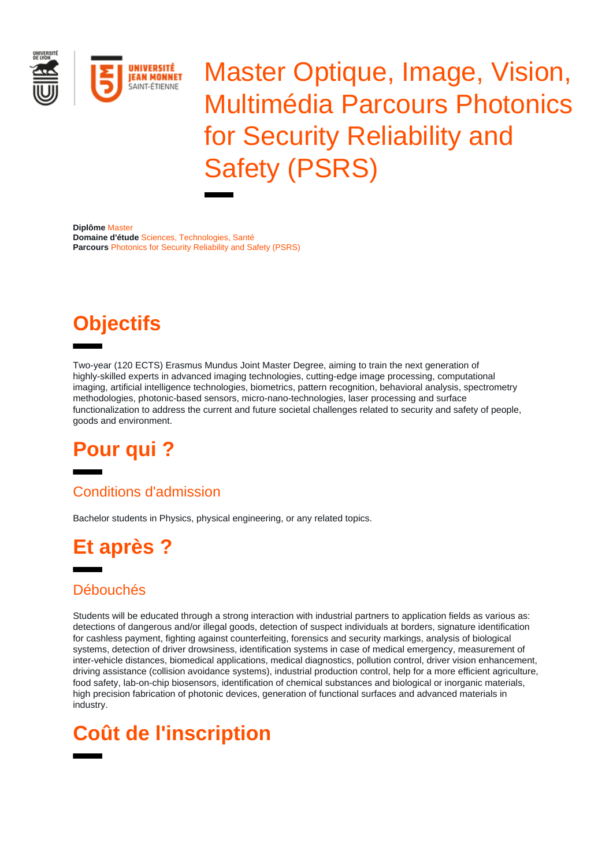

Master Optique, Image, Vision, Multimédia Parcours Photonics for Security Reliability and Safety (PSRS)

**Diplôme** Master **Domaine d'étude** Sciences, Technologies, Santé **Parcours** Photonics for Security Reliability and Safety (PSRS)

# **Objectifs**

Two-year (120 ECTS) Erasmus Mundus Joint Master Degree, aiming to train the next generation of highly-skilled experts in advanced imaging technologies, cutting-edge image processing, computational imaging, artificial intelligence technologies, biometrics, pattern recognition, behavioral analysis, spectrometry methodologies, photonic-based sensors, micro-nano-technologies, laser processing and surface functionalization to address the current and future societal challenges related to security and safety of people, goods and environment.

#### **Pour qui ?**

#### Conditions d'admission

Bachelor students in Physics, physical engineering, or any related topics.

## **Et après ?**

#### Débouchés

Students will be educated through a strong interaction with industrial partners to application fields as various as: detections of dangerous and/or illegal goods, detection of suspect individuals at borders, signature identification for cashless payment, fighting against counterfeiting, forensics and security markings, analysis of biological systems, detection of driver drowsiness, identification systems in case of medical emergency, measurement of inter-vehicle distances, biomedical applications, medical diagnostics, pollution control, driver vision enhancement, driving assistance (collision avoidance systems), industrial production control, help for a more efficient agriculture, food safety, lab-on-chip biosensors, identification of chemical substances and biological or inorganic materials, high precision fabrication of photonic devices, generation of functional surfaces and advanced materials in industry.

## **Coût de l'inscription**